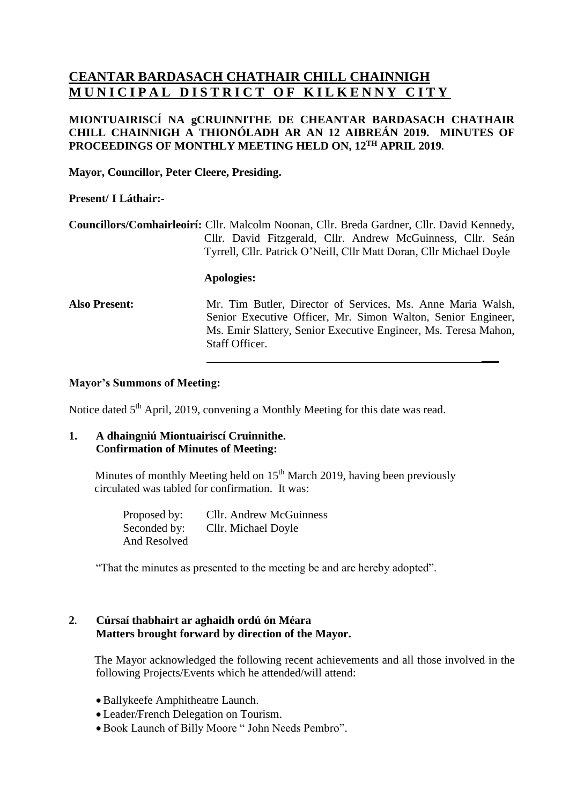# **CEANTAR BARDASACH CHATHAIR CHILL CHAINNIGH MUNICIPAL DISTRICT OF KILKENNY CITY**

# **MIONTUAIRISCÍ NA gCRUINNITHE DE CHEANTAR BARDASACH CHATHAIR CHILL CHAINNIGH A THIONÓLADH AR AN 12 AIBREÁN 2019. MINUTES OF PROCEEDINGS OF MONTHLY MEETING HELD ON, 12 TH APRIL 2019.**

**Mayor, Councillor, Peter Cleere, Presiding.**

### **Present/ I Láthair:-**

**Councillors/Comhairleoirí:** Cllr. Malcolm Noonan, Cllr. Breda Gardner, Cllr. David Kennedy, Cllr. David Fitzgerald, Cllr. Andrew McGuinness, Cllr. Seán Tyrrell, Cllr. Patrick O'Neill, Cllr Matt Doran, Cllr Michael Doyle

#### **Apologies:**

**Also Present:** Mr. Tim Butler, Director of Services, Ms. Anne Maria Walsh, Senior Executive Officer, Mr. Simon Walton, Senior Engineer, Ms. Emir Slattery, Senior Executive Engineer, Ms. Teresa Mahon, Staff Officer.

**\_\_\_**

## **Mayor's Summons of Meeting:**

Notice dated 5<sup>th</sup> April, 2019, convening a Monthly Meeting for this date was read.

# **1. A dhaingniú Miontuairiscí Cruinnithe. Confirmation of Minutes of Meeting:**

Minutes of monthly Meeting held on 15<sup>th</sup> March 2019, having been previously circulated was tabled for confirmation. It was:

> Proposed by: Cllr. Andrew McGuinness Seconded by: Cllr. Michael Doyle And Resolved

"That the minutes as presented to the meeting be and are hereby adopted".

# **2. Cúrsaí thabhairt ar aghaidh ordú ón Méara Matters brought forward by direction of the Mayor.**

The Mayor acknowledged the following recent achievements and all those involved in the following Projects/Events which he attended/will attend:

- Ballykeefe Amphitheatre Launch.
- Leader/French Delegation on Tourism.
- Book Launch of Billy Moore " John Needs Pembro".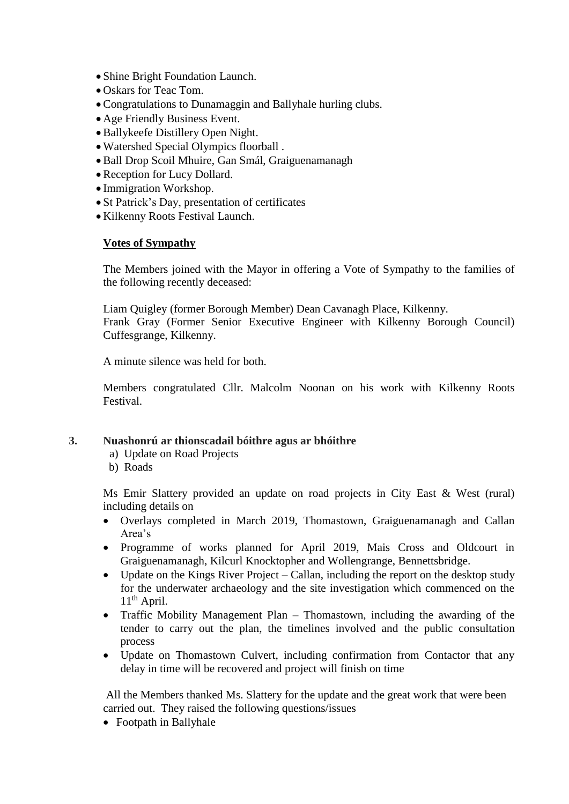- Shine Bright Foundation Launch.
- Oskars for Teac Tom.
- Congratulations to Dunamaggin and Ballyhale hurling clubs.
- Age Friendly Business Event.
- Ballykeefe Distillery Open Night.
- Watershed Special Olympics floorball .
- Ball Drop Scoil Mhuire, Gan Smál, Graiguenamanagh
- Reception for Lucy Dollard.
- Immigration Workshop.
- St Patrick's Day, presentation of certificates
- Kilkenny Roots Festival Launch.

# **Votes of Sympathy**

The Members joined with the Mayor in offering a Vote of Sympathy to the families of the following recently deceased:

Liam Quigley (former Borough Member) Dean Cavanagh Place, Kilkenny.

Frank Gray (Former Senior Executive Engineer with Kilkenny Borough Council) Cuffesgrange, Kilkenny.

A minute silence was held for both.

Members congratulated Cllr. Malcolm Noonan on his work with Kilkenny Roots Festival.

### **3. Nuashonrú ar thionscadail bóithre agus ar bhóithre**

- a) Update on Road Projects
- b) Roads

Ms Emir Slattery provided an update on road projects in City East & West (rural) including details on

- Overlays completed in March 2019, Thomastown, Graiguenamanagh and Callan Area's
- Programme of works planned for April 2019, Mais Cross and Oldcourt in Graiguenamanagh, Kilcurl Knocktopher and Wollengrange, Bennettsbridge.
- Update on the Kings River Project Callan, including the report on the desktop study for the underwater archaeology and the site investigation which commenced on the 11<sup>th</sup> April.
- Traffic Mobility Management Plan Thomastown, including the awarding of the tender to carry out the plan, the timelines involved and the public consultation process
- Update on Thomastown Culvert, including confirmation from Contactor that any delay in time will be recovered and project will finish on time

All the Members thanked Ms. Slattery for the update and the great work that were been carried out. They raised the following questions/issues

• Footpath in Ballyhale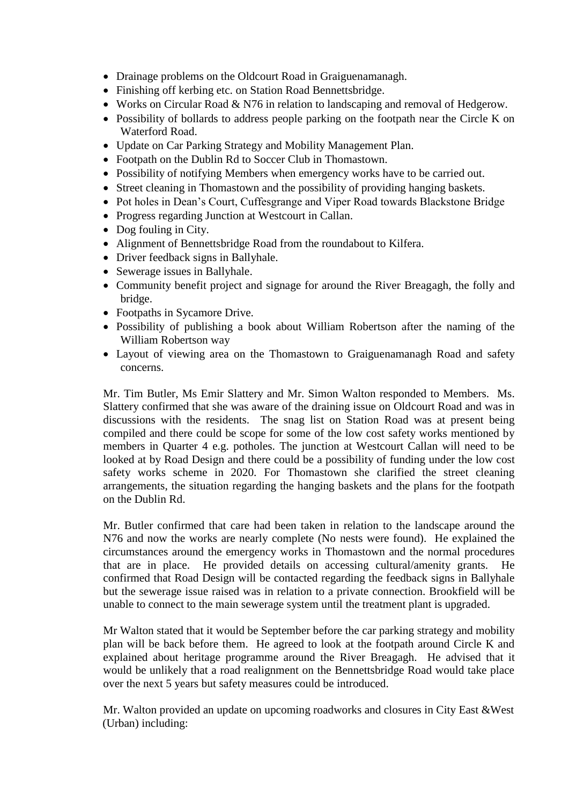- Drainage problems on the Oldcourt Road in Graiguenamanagh.
- Finishing off kerbing etc. on Station Road Bennettsbridge.
- Works on Circular Road & N76 in relation to landscaping and removal of Hedgerow.
- Possibility of bollards to address people parking on the footpath near the Circle K on Waterford Road.
- Update on Car Parking Strategy and Mobility Management Plan.
- Footpath on the Dublin Rd to Soccer Club in Thomastown.
- Possibility of notifying Members when emergency works have to be carried out.
- Street cleaning in Thomastown and the possibility of providing hanging baskets.
- Pot holes in Dean's Court, Cuffesgrange and Viper Road towards Blackstone Bridge
- Progress regarding Junction at Westcourt in Callan.
- Dog fouling in City.
- Alignment of Bennettsbridge Road from the roundabout to Kilfera.
- Driver feedback signs in Ballyhale.
- Sewerage issues in Ballyhale.
- Community benefit project and signage for around the River Breagagh, the folly and bridge.
- Footpaths in Sycamore Drive.
- Possibility of publishing a book about William Robertson after the naming of the William Robertson way
- Layout of viewing area on the Thomastown to Graiguenamanagh Road and safety concerns.

Mr. Tim Butler, Ms Emir Slattery and Mr. Simon Walton responded to Members. Ms. Slattery confirmed that she was aware of the draining issue on Oldcourt Road and was in discussions with the residents. The snag list on Station Road was at present being compiled and there could be scope for some of the low cost safety works mentioned by members in Quarter 4 e.g. potholes. The junction at Westcourt Callan will need to be looked at by Road Design and there could be a possibility of funding under the low cost safety works scheme in 2020. For Thomastown she clarified the street cleaning arrangements, the situation regarding the hanging baskets and the plans for the footpath on the Dublin Rd.

Mr. Butler confirmed that care had been taken in relation to the landscape around the N76 and now the works are nearly complete (No nests were found). He explained the circumstances around the emergency works in Thomastown and the normal procedures that are in place. He provided details on accessing cultural/amenity grants. He confirmed that Road Design will be contacted regarding the feedback signs in Ballyhale but the sewerage issue raised was in relation to a private connection. Brookfield will be unable to connect to the main sewerage system until the treatment plant is upgraded.

Mr Walton stated that it would be September before the car parking strategy and mobility plan will be back before them. He agreed to look at the footpath around Circle K and explained about heritage programme around the River Breagagh. He advised that it would be unlikely that a road realignment on the Bennettsbridge Road would take place over the next 5 years but safety measures could be introduced.

Mr. Walton provided an update on upcoming roadworks and closures in City East &West (Urban) including: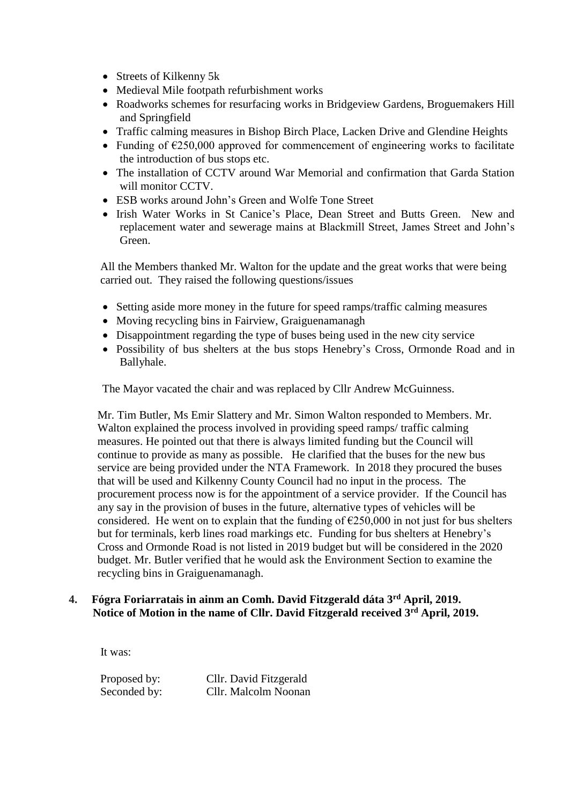- Streets of Kilkenny 5k
- Medieval Mile footpath refurbishment works
- Roadworks schemes for resurfacing works in Bridgeview Gardens, Broguemakers Hill and Springfield
- Traffic calming measures in Bishop Birch Place, Lacken Drive and Glendine Heights
- Funding of  $\epsilon$ 250,000 approved for commencement of engineering works to facilitate the introduction of bus stops etc.
- The installation of CCTV around War Memorial and confirmation that Garda Station will monitor CCTV.
- ESB works around John's Green and Wolfe Tone Street
- Irish Water Works in St Canice's Place, Dean Street and Butts Green. New and replacement water and sewerage mains at Blackmill Street, James Street and John's Green.

 All the Members thanked Mr. Walton for the update and the great works that were being carried out. They raised the following questions/issues

- Setting aside more money in the future for speed ramps/traffic calming measures
- Moving recycling bins in Fairview, Graiguenamanagh
- Disappointment regarding the type of buses being used in the new city service
- Possibility of bus shelters at the bus stops Henebry's Cross, Ormonde Road and in Ballyhale.

The Mayor vacated the chair and was replaced by Cllr Andrew McGuinness.

 Mr. Tim Butler, Ms Emir Slattery and Mr. Simon Walton responded to Members. Mr. Walton explained the process involved in providing speed ramps/ traffic calming measures. He pointed out that there is always limited funding but the Council will continue to provide as many as possible. He clarified that the buses for the new bus service are being provided under the NTA Framework. In 2018 they procured the buses that will be used and Kilkenny County Council had no input in the process. The procurement process now is for the appointment of a service provider. If the Council has any say in the provision of buses in the future, alternative types of vehicles will be considered. He went on to explain that the funding of  $\epsilon$ 250,000 in not just for bus shelters but for terminals, kerb lines road markings etc. Funding for bus shelters at Henebry's Cross and Ormonde Road is not listed in 2019 budget but will be considered in the 2020 budget. Mr. Butler verified that he would ask the Environment Section to examine the recycling bins in Graiguenamanagh.

### **4. Fógra Foriarratais in ainm an Comh. David Fitzgerald dáta 3rd April, 2019. Notice of Motion in the name of Cllr. David Fitzgerald received 3rd April, 2019.**

It was:

 Proposed by: Cllr. David Fitzgerald Seconded by: Cllr. Malcolm Noonan